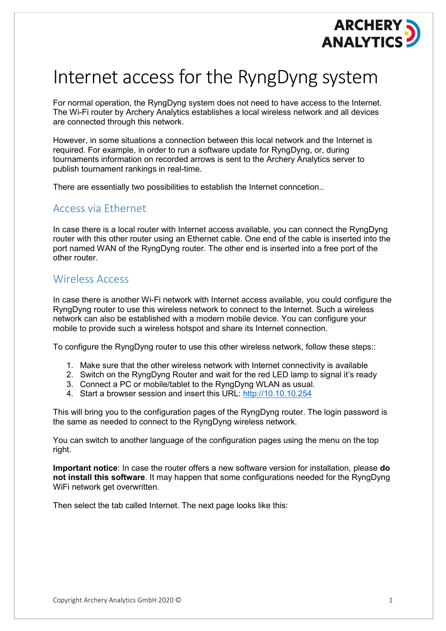

## Internet access for the RyngDyng system

For normal operation, the RyngDyng system does not need to have access to the Internet. The Wi-Fi router by Archery Analytics establishes a local wireless network and all devices are connected through this network.

However, in some situations a connection between this local network and the Internet is required. For example, in order to run a software update for RyngDyng, or, during tournaments information on recorded arrows is sent to the Archery Analytics server to publish tournament rankings in real-time.

There are essentially two possibilities to establish the Internet conncetion..

## Access via Ethernet

In case there is a local router with Internet access available, you can connect the RyngDyng router with this other router using an Ethernet cable. One end of the cable is inserted into the port named WAN of the RyngDyng router. The other end is inserted into a free port of the other router.

## Wireless Access

In case there is another Wi-Fi network with Internet access available, you could configure the RyngDyng router to use this wireless network to connect to the Internet. Such a wireless network can also be established with a modern mobile device. You can configure your mobile to provide such a wireless hotspot and share its Internet connection.

To configure the RyngDyng router to use this other wireless network, follow these steps::

- 1. Make sure that the other wireless network with Internet connectivity is available
- 2. Switch on the RyngDyng Router and wait for the red LED lamp to signal it's ready
- 3. Connect a PC or mobile/tablet to the RyngDyng WLAN as usual.
- 4. Start a browser session and insert this URL: [http://10.10.10.254](http://10.10.10.254/)

This will bring you to the configuration pages of the RyngDyng router. The login password is the same as needed to connect to the RyngDyng wireless network.

You can switch to another language of the configuration pages using the menu on the top right.

**Important notice**: In case the router offers a new software version for installation, please **do not install this software**. It may happen that some configurations needed for the RyngDyng WiFi network get overwritten.

Then select the tab called Internet. The next page looks like this: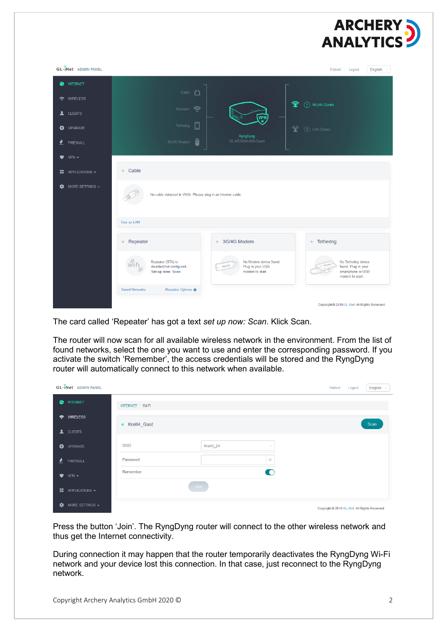

| <b>GL.</b> Met ADMIN PANEL                                                                                 |                                                                   |                                                                        | Reboot<br>Logout<br>English                                                        |  |  |  |  |  |  |
|------------------------------------------------------------------------------------------------------------|-------------------------------------------------------------------|------------------------------------------------------------------------|------------------------------------------------------------------------------------|--|--|--|--|--|--|
| <b>INTERNET</b><br>۵                                                                                       | Cable <sup>1</sup>                                                |                                                                        |                                                                                    |  |  |  |  |  |  |
| <b>WIRELESS</b><br>$\widehat{\phantom{a}}$                                                                 |                                                                   | 金                                                                      | (1) WLAN Clients                                                                   |  |  |  |  |  |  |
| <b>1</b> CLIENTS                                                                                           | Repeater                                                          | <b>VPN</b>                                                             |                                                                                    |  |  |  |  |  |  |
| O UPGRADE                                                                                                  | $\Box$<br>Tethering                                               | 燮                                                                      | (0) LAN Clients                                                                    |  |  |  |  |  |  |
| ₹<br><b>FIREWALL</b>                                                                                       | ö<br>3G/4G Modem                                                  | RyngDyng<br>GL-AR300M-695-Guest                                        |                                                                                    |  |  |  |  |  |  |
| $VPN -$<br>♥.                                                                                              |                                                                   |                                                                        |                                                                                    |  |  |  |  |  |  |
| $\blacksquare$ APPLICATIONS $\blacktriangleright$                                                          | · Cable                                                           |                                                                        |                                                                                    |  |  |  |  |  |  |
| MORE SETTINGS $\overline{\phantom{a}}$<br>∗<br>No cable detected in WAN. Please plug in an Internet cable. |                                                                   |                                                                        |                                                                                    |  |  |  |  |  |  |
|                                                                                                            | Use as LAN                                                        |                                                                        |                                                                                    |  |  |  |  |  |  |
|                                                                                                            | • Repeater                                                        | ● 3G/4G Modem                                                          | • Tethering                                                                        |  |  |  |  |  |  |
|                                                                                                            | Repeater (STA) is<br>disabled/not configured.<br>Set up now. Scan | No Modem device found.<br>3G/4G<br>Plug in your USB<br>modem to start. | No Tethering device<br>found. Plug in your<br>smartphone or USB<br>modem to start. |  |  |  |  |  |  |
|                                                                                                            | Repeater Options<br><b>Saved Networks</b>                         |                                                                        |                                                                                    |  |  |  |  |  |  |
|                                                                                                            |                                                                   |                                                                        | Copyright @ 2019 GL.iNet. All Rights Reserved.                                     |  |  |  |  |  |  |

The card called 'Repeater' has got a text *set up now: Scan*. Klick Scan.

The router will now scan for all available wireless network in the environment. From the list of found networks, select the one you want to use and enter the corresponding password. If you activate the switch 'Remember', the access credentials will be stored and the RyngDyng router will automatically connect to this network when available.

|                     | <b>GL</b> ·INet ADMIN PANEL                       |                      |           |                | Reboot Logout                                  | English $\sim$ |
|---------------------|---------------------------------------------------|----------------------|-----------|----------------|------------------------------------------------|----------------|
| ۵                   | <b>INTERNET</b>                                   | INTERNET / Wi-Fi     |           |                |                                                |                |
| $\hat{\mathcal{P}}$ | <b>WIRELESS</b>                                   | • Kreit4_Gast        |           |                |                                                | Scan           |
| Æ                   | <b>CLIENTS</b>                                    |                      |           |                |                                                |                |
| $\bullet$           | <b>UPGRADE</b>                                    | <b>SSID</b>          | Kreit4_24 | $\checkmark$   |                                                |                |
| ℯ                   | <b>FIREWALL</b>                                   | Password<br>Remember |           | D<br>$\bullet$ |                                                |                |
|                     | $VPN -$                                           |                      | Join      |                |                                                |                |
|                     | $\blacksquare$ APPLICATIONS $\blacktriangleright$ |                      |           |                |                                                |                |
| ₩                   | MORE SETTINGS $\star$                             |                      |           |                | Convright @ 2019 GL iNet, All Rights Reserved. |                |

Press the button 'Join'. The RyngDyng router will connect to the other wireless network and thus get the Internet connectivity.

During connection it may happen that the router temporarily deactivates the RyngDyng Wi-Fi network and your device lost this connection. In that case, just reconnect to the RyngDyng network.